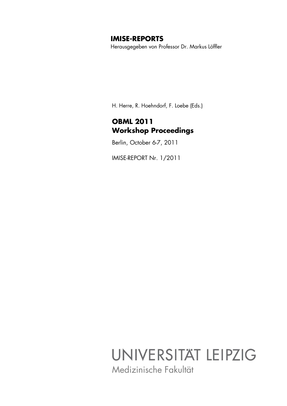## **IMISE-REPORTS**

Herausgegeben von Professor Dr. Markus Löffler

H. Herre, R. Hoehndorf, F. Loebe (Eds.)

# **OBML 2011 Workshop Proceedings**

Berlin, October 6-7, 2011

IMISE-REPORT Nr. 1/2011

# UNIVERSITÄT LEIPZIG Medizinische Fakultät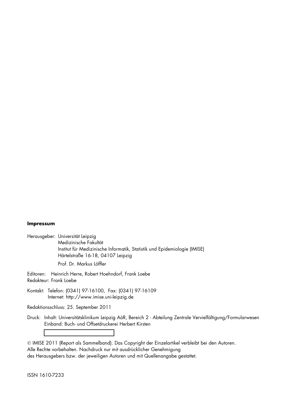## **Impressum**

Herausgeber: Universität Leipzig Medizinische Fakultät Institut für Medizinische Informatik, Statistik und Epidemiologie (IMISE) Härtelstraße 16-18, 04107 Leipzig

Prof. Dr. Markus Löffler

Editoren: Heinrich Herre, Robert Hoehndorf, Frank Loebe Redakteur: Frank Loebe

Kontakt: Telefon: (0341) 97-16100, Fax: (0341) 97-16109 Internet: http://www.imise.uni-leipzig.de

Redaktionsschluss: 25. September 2011

Druck: Inhalt: Universitätsklinikum Leipzig AöR, Bereich 2 - Abteilung Zentrale Vervielfältigung/Formularwesen Einband: Buch- und Offsetdruckerei Herbert Kirsten

 IMISE 2011 (Report als Sammelband). Das Copyright der Einzelartikel verbleibt bei den Autoren. Alle Rechte vorbehalten. Nachdruck nur mit ausdrücklicher Genehmigung des Herausgebers bzw. der jeweiligen Autoren und mit Quellenangabe gestattet.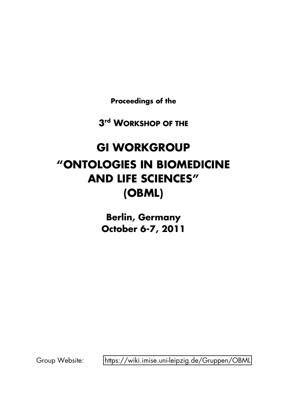**Proceedings of the**

**3rd WORKSHOP OF THE**

# **GI WORKGROUP qONTOLOGIES IN BIOMEDICINE AND LIFE SCIENCESr (OBML)**

**Berlin, Germany October 6-7, 2011**

Group Website: https://wiki.imise.uni-leipzig.de/Gruppen/OBML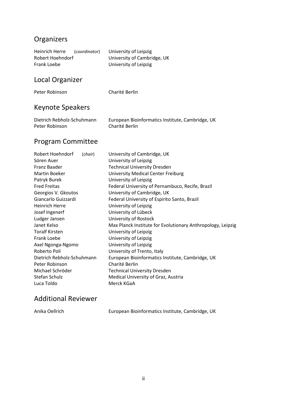# Organizers

| <b>Heinrich Herre</b><br>(coordinator)<br>Robert Hoehndorf<br>Frank Loebe                                                                                                                                                                                                                                                      | University of Leipzig<br>University of Cambridge, UK<br>University of Leipzig                                                                                                                                                                                                                                                                                                                                                                                                                                                                           |  |  |  |  |
|--------------------------------------------------------------------------------------------------------------------------------------------------------------------------------------------------------------------------------------------------------------------------------------------------------------------------------|---------------------------------------------------------------------------------------------------------------------------------------------------------------------------------------------------------------------------------------------------------------------------------------------------------------------------------------------------------------------------------------------------------------------------------------------------------------------------------------------------------------------------------------------------------|--|--|--|--|
| Local Organizer                                                                                                                                                                                                                                                                                                                |                                                                                                                                                                                                                                                                                                                                                                                                                                                                                                                                                         |  |  |  |  |
| Peter Robinson                                                                                                                                                                                                                                                                                                                 | Charité Berlin                                                                                                                                                                                                                                                                                                                                                                                                                                                                                                                                          |  |  |  |  |
| <b>Keynote Speakers</b>                                                                                                                                                                                                                                                                                                        |                                                                                                                                                                                                                                                                                                                                                                                                                                                                                                                                                         |  |  |  |  |
| Dietrich Rebholz-Schuhmann<br>Peter Robinson                                                                                                                                                                                                                                                                                   | European Bioinformatics Institute, Cambridge, UK<br>Charité Berlin                                                                                                                                                                                                                                                                                                                                                                                                                                                                                      |  |  |  |  |
| <b>Program Committee</b>                                                                                                                                                                                                                                                                                                       |                                                                                                                                                                                                                                                                                                                                                                                                                                                                                                                                                         |  |  |  |  |
| Robert Hoehndorf<br>(chair)<br>Sören Auer<br>Franz Baader<br><b>Martin Boeker</b><br>Patryk Burek<br><b>Fred Freitas</b><br>Georgios V. Gkoutos<br>Giancarlo Guizzardi<br><b>Heinrich Herre</b><br>Josef Ingenerf<br>Ludger Jansen<br>Janet Kelso<br><b>Toralf Kirsten</b><br>Frank Loebe<br>Axel Ngonga-Ngomo<br>Roberto Poli | University of Cambridge, UK<br>University of Leipzig<br><b>Technical University Dresden</b><br><b>University Medical Center Freiburg</b><br>University of Leipzig<br>Federal University of Pernambuco, Recife, Brazil<br>University of Cambridge, UK<br>Federal University of Espirito Santo, Brazil<br>University of Leipzig<br>University of Lübeck<br>University of Rostock<br>Max Planck Institute for Evolutionary Anthropology, Leipzig<br>University of Leipzig<br>University of Leipzig<br>University of Leipzig<br>University of Trento, Italy |  |  |  |  |
| Dietrich Rebholz-Schuhmann<br>Peter Robinson                                                                                                                                                                                                                                                                                   | European Bioinformatics Institute, Cambridge, UK<br>Charité Berlin                                                                                                                                                                                                                                                                                                                                                                                                                                                                                      |  |  |  |  |

Michael Schröder Technical University Dresden Stefan Schulz Medical University of Graz, Austria

Anika Oellrich **European Bioinformatics Institute, Cambridge, UK** 

Luca Toldo Merck KGaA

Additional Reviewer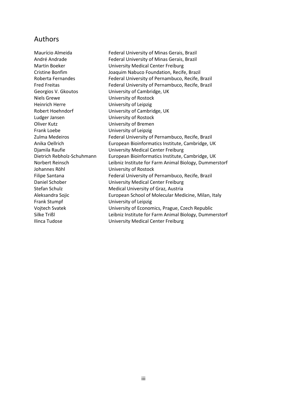## Authors

Georgios V. Gkoutos University of Cambridge, UK Niels Grewe **University of Rostock** Heinrich Herre University of Leipzig Robert Hoehndorf University of Cambridge, UK Ludger Jansen View University of Rostock Oliver Kutz **University of Bremen** Frank Loebe University of Leipzig Johannes Röhl Vniversity of Rostock Frank Stumpf View University of Leipzig

Maurício Almeida Federal University of Minas Gerais, Brazil André Andrade Federal University of Minas Gerais, Brazil Martin Boeker **University Medical Center Freiburg** Cristine Bonfim Joaquim Nabuco Foundation, Recife, Brazil Roberta Fernandes Federal University of Pernambuco, Recife, Brazil Fred Freitas Federal University of Pernambuco, Recife, Brazil Zulma Medeiros Federal University of Pernambuco, Recife, Brazil Anika Oellrich **European Bioinformatics Institute, Cambridge, UK** Djamila Raufie **National Center Center Freiburg** University Medical Center Freiburg Dietrich Rebholz-Schuhmann European Bioinformatics Institute, Cambridge, UK Norbert Reinsch **Leibniz Institute for Farm Animal Biology, Dummerstorf** Filipe Santana Federal University of Pernambuco, Recife, Brazil Daniel Schober University Medical Center Freiburg Stefan Schulz Medical University of Graz, Austria Aleksandra Sojic **European School of Molecular Medicine, Milan, Italy** Vojtech Svatek **University of Economics, Prague, Czech Republic** Silke Trißl **Eighniz Institute for Farm Animal Biology, Dummerstorf** Ilinca Tudose **Verwere University Medical Center Freiburg**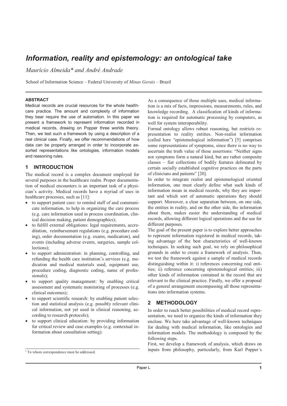# Information, reality and epistemology: an ontological take

Maurício Almeida\* and André Andrade

School of Information Science - Federal University of Minas Gerais - Brazil

## **ABSTRACT**

Medical records are crucial resources for the whole healthcare practice. The amount and complexity of information they bear require the use of automation. In this paper we present a framework to represent information recorded in medical records, drawing on Popper three worlds theory. Then, we test such a framework by using a description of a real clinical case. Finally, we offer recommendations of how data can be properly arranged in order to incorporate assorted representations like ontologies, information models and reasoning rules.

### **INTRODUCTION**  $\blacktriangleleft$

The medical record is a complex document employed for several purposes in the healthcare realm. Proper documentation of medical encounters is an important task of a physician's activity. Medical records have a myriad of uses in healthcare processes, such as [11]:

- to support patient care: to remind staff of and communicate information, to help in organizing the care process (e.g. care information used in process coordination, clinical decision making, patient demographics);
- to fulfill external obligations: legal requirements, accreditation, reimbursement regulations (e.g. procedure coding), order documentation (e.g. exams, medication), and events (including adverse events, surgeries, sample collections):
- to support administration: in planning, controlling, and refunding the health care institution's services (e.g. medication and medical materials used, equipment use, procedure coding, diagnostic coding, name of professionals):
- to support quality management: by enabling critical assessment and systematic monitoring of processes (e.g. clinical outcomes);
- to support scientific research: by enabling patient selection and statistical analysis (e.g. possibly relevant clinical information, not yet used in clinical reasoning, according to research protocols):
- to support clinical education: by providing information for critical review and case examples (e.g. contextual information about consultation setting).

As a consequence of those multiple uses, medical information is a mix of facts, impressions, measurements, rules, and knowledge recording. A classification of kinds of information is required for automatic processing by computers, as well for system interoperability.

Formal ontology allows robust reasoning, but restricts representation to reality entities. Non-realist information (called here "epistemological information") [5] comprises some representations of symptoms, since there is no way to ascertain the truth value of these assertions: "Neither signs nor symptoms form a natural kind, but are rather composite classes – fiat collections of bodily features delineated by certain socially established cognitive practices on the parts of clinicians and patients" [20].

In order to integrate realist and epistemological oriented information, one must clearly define what such kinds of information mean in medical records, why they are important and which sort of automatic operations they should support. Moreover, a clear separation between, on one side, the entities in reality, and on the other side, the information about them, makes easier the understanding of medical records, allowing different logical operations and the use for different purposes.

The goal of the present paper is to explore better approaches to represent information registered in medical records, taking advantage of the best characteristics of well-known techniques. In seeking such goal, we rely on philosophical grounds in order to create a framework of analysis. Then, we test the framework against a sample of medical records distinguishing within it: i) references concerning real entities; ii) reference concerning epistemological entities; iii) other kinds of information contained in the record that are relevant to the clinical practice. Finally, we offer a proposal of a general arrangement encompassing all those representations into information systems.

### $\overline{2}$ **METHODOLOGY**

In order to reach better possibilities of medical record representation, we need to organize the kinds of information they enclose. We here take advantage of well-known techniques for dealing with medical information, like ontologies and information models. The methodology is composed by the following steps.

First, we develop a framework of analysis, which draws on inputs from philosophy, particularly, from Karl Popper's

<sup>\*</sup> To whom correspondence must be addressed.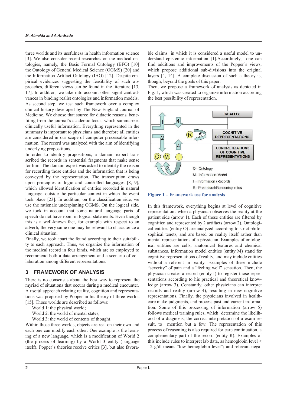three worlds and its usefulness in health information science [3]. We also consider recent researches on the medical ontologies, namely, the Basic Formal Ontology (BFO) [10] the Ontology of General Medical Science (OGMS) [20] and the Information Artifact Ontology (IAO) [12]. Despite empirical evidences suggesting the feasibility of such approaches, different views can be found in the literature [13, 17]. In addition, we take into account other significant advances in binding realist ontologies and information models. As second step, we test such framework over a complex clinical history developed by The New England Journal of Medicine. We choose that source for didactic reasons, benefiting from the journal's academic focus, which summarizes clinically useful information. Everything represented in the summary is important to physicians and therefore all entities are considered in our scope of computer processable information. The record was analyzed with the aim of identifying underlying propositions.

In order to identify propositions, a domain expert transcribed the records in sentential fragments that make sense for him. The domain expert was asked to identify the reason for recording those entities and the information that is being conveyed by the representation. The transcription draws upon principles of logic and controlled languages [8, 9]. which allowed identification of entities recorded in natural language, outside the particular context in which the event took place [23]. In addition, on the classification side, we use the rationale underpinning OGMS. On the logical side, we took in account that some natural language parts of speech do not have room in logical statements. Even though this is a well-known fact, for example with respect to an adverb, the very same one may be relevant to characterize a clinical situation.

Finally, we took apart the found according to their suitability to each approach. Thus, we organize the information of the medical record in four kinds, which are so employed to recommend both a data arrangement and a scenario of collaboration among different representations.

#### **FRAMEWORK OF ANALYSIS**  $\mathbf{R}$

There is no consensus about the best way to represent the myriad of situations that occurs during a medical encounter. A useful approach relating reality, cognition and representations was proposed by Popper in his theory of three worlds [15]. Those worlds are described as follows:

World 1: the physical world;

World 2: the world of mental states;

World 3: the world of contents of thought.

Within those three worlds, objects are real on their own and each one can modify each other. One example is the learning of a new language, which is a modification of World 2 (the process of learning) by a World 3 entity (language itself). Popper's theories receive critics [3], but also favorable claims in which it is considered a useful model to understand epistemic information [1]. Accordingly, one can find additions and improvements of the Popper's views, which propose additional sub-divisions into the original layers [4, 14]. A complete discussion of such a theory is, though, beyond the goals of this paper.

Then, we propose a framework of analysis as depicted in Fig. 1, which was created to organize information according the best possibility of representation.



Figure 1 – Framework use for analysis

In this framework, everything begins at level of cognitive representations when a physician observes the reality at the patient side (arrow 1). Each of these entities are filtered by cognition and represented by 2 artifacts (arrow 2). Ontological entities (entity O) are analyzed according to strict philosophical tenets, and are based on reality itself rather than mental representations of a physician. Examples of ontological entities are cells, anatomical features and chemical substances. Information model entities (entity M) stand for cognitive representations of reality, and may include entities without a referent in reality. Examples of these include "severity" of pain and a "feeling well" sensation. Then, the physician creates a record (entity I) to register those representations according to his practical and theoretical knowledge (arrow 3). Constantly, other physicians can interpret records and reality (arrow 4), resulting in new cognitive representations. Finally, the physicians involved in healthcare make judgments, and process past and current information. Some of this processing of information (arrow 5) follows medical training rules, which determine the likelihood of a diagnosis, the correct interpretation of a exam result, to mention but a few. The representation of this process of reasoning is also required for care continuation, a complementary part of the record (entity R). Examples of this include rules to interpret lab data, as hemoglobin level  $\leq$ 12 g/dl means "low hemoglobin level"; and relevant nega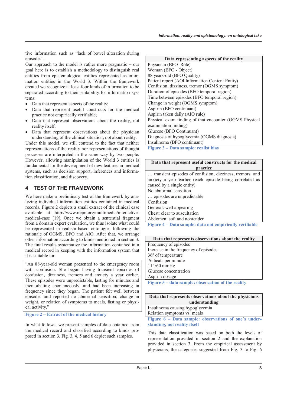tive information such as "lack of bowel alteration during episodes".

Our approach to the model is rather more pragmatic  $-$  our goal here is to establish a methodology to distinguish real entities from epistemological entities represented as information entities in the World 3. Within the framework created we recognize at least four kinds of information to be separated according to their suitability for information systems:

- Data that represent aspects of the reality;
- Data that represent useful constructs for the medical practice not empirically verifiable;
- Data that represent observations about the reality, not reality itself;
- Data that represent observations about the physician understanding of the clinical situation, not about reality.

Under this model, we still contend to the fact that neither representations of the reality nor representations of thought processes are interpreted in the same way by two people. However, allowing manipulation of the World 3 entities is fundamental for the development of new features in medical systems, such as decision support, inferences and information classification, and discovery.

## **TEST OF THE FRAMEWORK**  $\blacktriangle$

We here make a preliminary test of the framework by analyzing individual information entities contained in medical records. Figure 2 depicts a small extract of the clinical case available at http://www.nejm.org/multimedia/interactivemedical-case [19]. Once we obtain a sentential fragment from a domain expert evaluation, we thus isolate what could be represented in realism-based ontologies following the rationale of OGMS, BFO and AIO. After that, we arrange other information according to kinds mentioned in section 3. The final results systematize the information contained in a medical record in keeping with the information system that it is suitable for.

"An 88-year-old woman presented to the emergency room with confusion. She began having transient episodes of confusion, dizziness, tremors and anxiety a year earlier. These episodes were unpredictable, lasting for minutes and then abating spontaneously, and had been increasing in frequency since they began. The patient felt well between episodes and reported no abnormal sensation, change in weight, or relation of symptoms to meals, fasting or physical activity."

Figure 2 – Extract of the medical history

In what follows, we present samples of data obtained from the medical record and classified according to kinds proposed in section 3. Fig. 3, 4, 5 and 6 depict such samples.

| Data representing aspects of the reality               |  |  |  |  |  |
|--------------------------------------------------------|--|--|--|--|--|
| Physician (BFO Role)                                   |  |  |  |  |  |
| Woman (BFO - Object)                                   |  |  |  |  |  |
| 88 years-old (BFO Quality)                             |  |  |  |  |  |
| Patient report (AOI Information Content Entity)        |  |  |  |  |  |
| Confusion, dizziness, tremor (OGMS symptom)            |  |  |  |  |  |
| Duration of episodes (BFO temporal region)             |  |  |  |  |  |
| Time between episodes (BFO temporal region)            |  |  |  |  |  |
| Change in weight (OGMS symptom)                        |  |  |  |  |  |
| Aspirin (BFO continuant)                               |  |  |  |  |  |
| Aspirin taken daily (AIO rule)                         |  |  |  |  |  |
| Physical exam finding of that encounter (OGMS Physical |  |  |  |  |  |
| examination finding)                                   |  |  |  |  |  |
| Glucose (BFO Continuant)                               |  |  |  |  |  |
| Diagnosis of hypoglycemia (OGMS diagnosis)             |  |  |  |  |  |
| Insulinoma (BFO continuant)                            |  |  |  |  |  |
| Figure 2 Data samples realist high                     |  |  |  |  |  |

Figure 3 – Data sample: realist bias

| Data that represent useful constructs for the medical    |  |  |  |  |  |
|----------------------------------------------------------|--|--|--|--|--|
| practice                                                 |  |  |  |  |  |
| transient episodes of confusion, dizziness, tremors, and |  |  |  |  |  |
| anxiety a year earlier (each episode being correlated as |  |  |  |  |  |
| caused by a single entity)                               |  |  |  |  |  |
| No abnormal sensation                                    |  |  |  |  |  |
| episodes are unpredictable.                              |  |  |  |  |  |
| Confusion                                                |  |  |  |  |  |
| General: well appearing                                  |  |  |  |  |  |
| Chest: clear to auscultation                             |  |  |  |  |  |
| Abdomen: soft and nontender                              |  |  |  |  |  |
| Figure 4 – Data sample: data not empirically verifiable  |  |  |  |  |  |
|                                                          |  |  |  |  |  |

| Data that represents observations about the reality     |
|---------------------------------------------------------|
| Frequency of episodes                                   |
| Increase in the frequency of episodes                   |
| 36° of temperature                                      |
| 76 beats per minute                                     |
| 114/60 mmHg                                             |
| Glucose concentration                                   |
| Aspirin dosage                                          |
| $\mathbf{a}$ . The same $\mathbf{a}$<br>$\cdots$<br>. . |

Figure 5 – data sample: observation of the reality

| Data that represents observations about the physicians |  |  |  |  |  |  |  |  |  |
|--------------------------------------------------------|--|--|--|--|--|--|--|--|--|
| understanding                                          |  |  |  |  |  |  |  |  |  |
|                                                        |  |  |  |  |  |  |  |  |  |

Insulinoma causing hypoglycemia Relation symptoms vs. meals

Figure 6 - Data sample: observations of one's understanding, not reality itself

This data classification was based on both the levels of representation provided in section 2 and the explanation provided in section 3. From the empirical assessment by physicians, the categories suggested from Fig. 3 to Fig. 6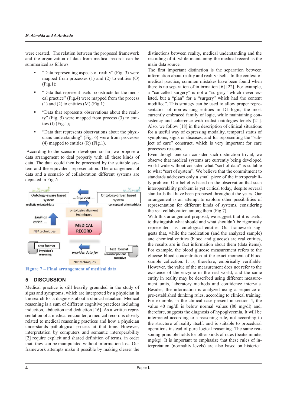were created. The relation between the proposed framework and the organization of data from medical records can be summarized as follows:

- "Data representing aspects of reality" (Fig. 3) were mapped from processes  $(1)$  and  $(2)$  to entities  $(0)$  $(Fig.1)$ ;
- "Data that represent useful constructs for the medical practice" (Fig.4) were mapped from the process  $(1)$  and  $(2)$  to entities  $(M)$  (Fig.1):
- "Data that represents observations about the reality" (Fig. 5) were mapped from process (3) to entities  $(I)$  (Fig.1);
- "Data that represents observations about the physicians understanding" (Fig. 6) were from processes  $(4)$  mapped to entities  $(R)$  (Fig.1).

According to the scenario developed so far, we propose a data arrangement to deal properly with all these kinds of data. The data could then be processed by the suitable system and the equivalent representation. The arrangement of data and a scenario of collaboration different systems are depicted in Fig.7:



Figure 7 – Final arrangement of medical data

#### 5 **DISCUSSION**

Medical practice is still heavily grounded in the study of signs and symptoms, which are interpreted by a physician in the search for a diagnosis about a clinical situation. Medical reasoning is a sum of different cognitive practices including induction, abduction and deduction [16]. As a written representation of a medical encounter, a medical record is closely related to medical reasoning practices and how a physician understands pathological process at that time. However, interpretation by computers and semantic interoperability [2] require explicit and shared definition of terms, in order that they can be manipulated without information loss. Our framework attempts make it possible by making clearer the

distinctions between reality, medical understanding and the recording of it, while maintaining the medical record as the main data source.

The first important distinction is the separation between information about reality and reality itself. In the context of medical practice, common mistakes have been found when there is no separation of information  $[6]$   $[22]$ . For example, a "cancelled surgery" is not a "surgery" which never existed, but a "plan" for a "surgery" which had the content modified". This strategy can be used to allow proper representation of non-existing entities in DL-logic, the most currently embraced family of logic, while maintaining consistency and coherence with realist ontologies tenets [21]. Also, we follow [18] in the description of clinical situations for a useful way of expressing modality, temporal status of symptoms, signs or diseases, and for representing the "subject of care" construct, which is very important for care processes reasons.

Even though one can consider such distinction trivial, we observe that medical systems are currently being developed world-wide without consider what "sort of data" is suitable to what "sort of system". We believe that the commitment to standards addresses only a small piece of the interoperability problem. Our belief is based on the observation that such interoperability problem is yet critical today, despite several standards that have been proposed throughout the years. Our arrangement is an attempt to explore other possibilities of representation for different kinds of systems, considering the real collaboration among them (Fig. 7).

With this arrangement proposal, we suggest that it is useful to distinguish what should and what shouldn't be rigorously represented as ontological entities. Our framework suggests that, while the medication (and the analyzed sample) and chemical entities (blood and glucose) are real entities, the results are in fact information about them (data items). For example, the blood glucose measurement refers to the glucose blood concentration at the exact moment of blood sample collection. It is, therefore, empirically verifiable. However, the value of the measurement does not refer to the existence of the enzyme in the real world, and the same entity in reality may be described using different measurement units, laboratory methods and confidence intervals. Besides, the information is analyzed using a sequence of pre-established thinking rules, according to clinical training. For example, in the clinical case present in section 4, the value 40 mg/dl is below normal values (80 mg/dl) and, therefore, suggests the diagnosis of hypoglycemia. It will be interpreted according to a reasoning rule, not according to the structure of reality itself, and is suitable to procedural operations instead of pure logical reasoning. The same reasoning principle holds for other kinds of rates (beats/minute, mg/kg). It is important to emphasize that these rules of interpretation (normality levels) are also based on historical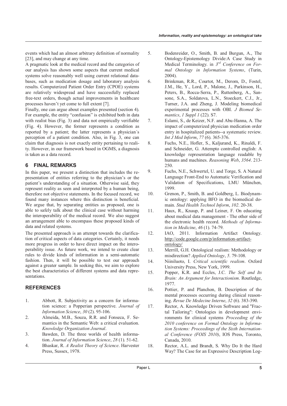events which had an almost arbitrary definition of normality [23], and may change at any time.

A pragmatic look at the medical record and the categories of our analysis has shown some aspects that current medical systems solve reasonably well using current relational databases, such as medication dosage and laboratory analysis results. Computerized Patient Order Entry (CPOE) systems are relatively widespread and have successfully replaced free-text orders, though actual improvements in healthcare processes haven't yet come to full extent [7].

Finally, one can argue about examples presented (section 4). For example, the entity "confusion" is exhibited both in data with realist bias (Fig. 3) and data not empirically verifiable (Fig. 4). However, the former represents a condition as reported by a patient; the latter represents a physician's perception of a patient condition. Also, in Fig. 3, one can claim that diagnosis is not exactly entity pertaining to reality. However, in our framework based in OGMS, a diagnosis is taken as a data record.

### **FINAL REMARKS** 6

In this paper, we present a distinction that includes the representation of entities referring to the physician's or the patient's understanding of a situation. Otherwise said, they represent reality as seen and interpreted by a human being, therefore not objective statements. In the focused record, we found many instances where this distinction is beneficial. We argue that, by separating entities as proposed, one is able to safely talk about the clinical case without harming the interoperability of the medical record. We also suggest an arrangement able to encompass these proposed kinds of data and related systems.

The presented approach is an attempt towards the clarification of critical aspects of data categories. Certainly, it needs more progress in order to have direct impact on the interoperability issue. As future work, we intend to create clear rules to divide kinds of information in a semi-automatic fashion. Then, it will be possible to test our approach against a greater sample. In seeking this, we aim to explore the best characteristics of different systems and data representations

## **REFERENCES**

- 1. Abbott, R. Subjectivity as a concern for information science: a Popperian perspective. Journal of Information Science, 30 (2). 95-106.
- $\mathcal{D}_{\mathcal{L}}$ Almeida, M.B., Souza, R.R. and Fonseca, F. Semantics in the Semantic Web: a critical evaluation. Knowledge Organization Journal.
- $3.$ Bawden, D. The three worlds of health information. Journal of Information Science, 28 (1). 51-62.
- $\overline{4}$ . Bhaskar, R. A Realist Theory of Science. Harvester Press, Sussex, 1978.
- $\overline{5}$ Bodenreider, O., Smith, B. and Burgun, A., The Ontology-Epistemology Divide:A Case Study in Medical Terminology. in  $3^{rd}$  Conference on Formal Ontology in Information Systems, (Turin,  $2004$
- 6 Brinkman, R.R., Courtot, M., Derom, D., Fostel, J.M., He, Y., Lord, P., Malone, J., Parkinson, H., Peters, B., Rocca-Serra, P., Ruttenberg, A., Sansone, S.A., Soldatova, L.N., Stoeckert, C.J., Jr., Turner, J.A. and Zheng, J. Modeling biomedical experimental processes with OBI. J Biomed Semantics,  $I$  Suppl  $I$  (22). S7.
- $7<sub>1</sub>$ Eslami, S., de Keizer, N.F. and Abu-Hanna, A. The impact of computerized physician medication order entry in hospitalized patients--a systematic review. Int J Med Inform, 77 (6). 365-376.
- Fuchs, N.E., Hofler, S., Kaljurand, K., Rinaldi, F. 8. and Schneider, G. Attempto controlled english: A knowledge representation language readable by humans and machines. Reasoning Web, 3564. 213-250.
- 9. Fuchs, N.E., Schwertel, U. and Torge, S. A Natural Language Front-End to Automatic Verification and Validation of Specifications. LMU München. 1999
- $10<sup>1</sup>$ Grenon, P., Smith, B. and Goldberg, L. Biodynamic ontology: applying BFO in the biomedical domain. Stud Health Technol Inform, 102. 20-38.
- Haux, R., Knaup, P. and Leiner, F. On educating 11. about medical data management - The other side of the electronic health record. Methods of Information in Medicine, 46 (1). 74-79.
- $12.$ IAO, 2011. Information Artifact Ontology. http://code.google.com/p/information-artifactontology/
- 13. Merrill, G.H. Ontological realism: Methodology or misdirection? Applied Ontology, 5.79-108.
- $14$ Niiniluoto, I. Critical scientific realism. Oxford University Press, New York, 1999.
- $15$ Popper, K.R. and Eccles, J.C. The Self and Its Brain: An Argument for Interactionism. Routledge, 1977.
- 16. Pottier, P. and Planchon, B. Description of the mental processes occurring during clinical reasoning. Revue De Medecine Interne, 32 (6). 383-390.
- 17. Rector, A. Knowledge Driven Software and "Fractal Tailoring": Ontologies in development environments for clinical systems Proceeding of the 2010 conference on Formal Ontology in Information Systems: Proceedings of the Sixth International Conference (FOIS 2010), IOS Press, Toronto, Canada, 2010.
- Rector, A.L. and Brandt, S. Why Do It the Hard 18. Way? The Case for an Expressive Description Log-